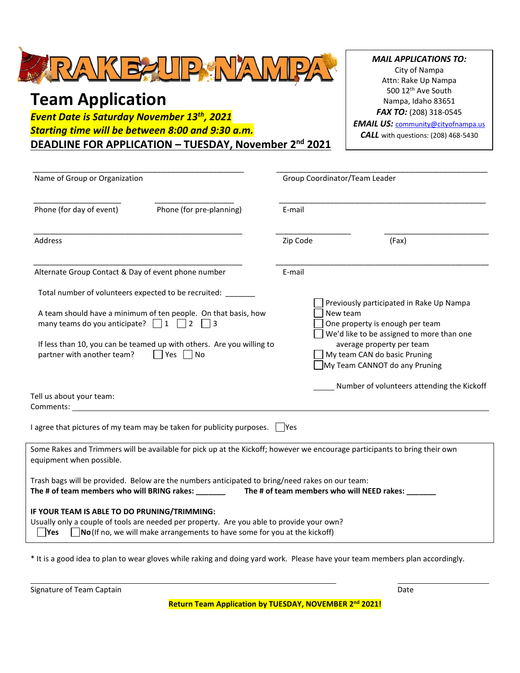

## **Team Application**

*Event Date is Saturday November 13th , 2021 Starting time will be between 8:00 and 9:30 a.m.* **DEADLINE FOR APPLICATION – TUESDAY, November 2nd 2021**

*MAIL APPLICATIONS TO:* City of Nampa Attn: Rake Up Nampa 500 12th Ave South Nampa, Idaho 83651 *FAX TO:* (208) 318-0545 **EMAIL US: [community@cityofnampa.us](mailto:community@cityofnampa.us)** *CALL* with questions: (208) 468-5430

| Name of Group or Organization                                                                                                                  |                                                                                                                                                                                |          | Group Coordinator/Team Leader                                                                                                                                                                                                      |  |  |
|------------------------------------------------------------------------------------------------------------------------------------------------|--------------------------------------------------------------------------------------------------------------------------------------------------------------------------------|----------|------------------------------------------------------------------------------------------------------------------------------------------------------------------------------------------------------------------------------------|--|--|
| Phone (for day of event)                                                                                                                       | Phone (for pre-planning)                                                                                                                                                       | E-mail   |                                                                                                                                                                                                                                    |  |  |
| Address                                                                                                                                        |                                                                                                                                                                                | Zip Code | (Fax)                                                                                                                                                                                                                              |  |  |
| Alternate Group Contact & Day of event phone number                                                                                            |                                                                                                                                                                                | E-mail   |                                                                                                                                                                                                                                    |  |  |
| Total number of volunteers expected to be recruited:<br>many teams do you anticipate? $\Box$ 1 $\Box$ 2 $\Box$ 3<br>partner with another team? | A team should have a minimum of ten people. On that basis, how<br>If less than 10, you can be teamed up with others. Are you willing to<br>  Yes   No                          |          | Previously participated in Rake Up Nampa<br>New team<br>One property is enough per team<br>We'd like to be assigned to more than one<br>average property per team<br>My team CAN do basic Pruning<br>My Team CANNOT do any Pruning |  |  |
| Tell us about your team:                                                                                                                       |                                                                                                                                                                                |          | Number of volunteers attending the Kickoff                                                                                                                                                                                         |  |  |
|                                                                                                                                                | I agree that pictures of my team may be taken for publicity purposes. $\Box$ Yes                                                                                               |          |                                                                                                                                                                                                                                    |  |  |
| equipment when possible.                                                                                                                       |                                                                                                                                                                                |          | Some Rakes and Trimmers will be available for pick up at the Kickoff; however we encourage participants to bring their own                                                                                                         |  |  |
| The # of team members who will BRING rakes: ________                                                                                           | Trash bags will be provided. Below are the numbers anticipated to bring/need rakes on our team:                                                                                |          | The # of team members who will NEED rakes: ____                                                                                                                                                                                    |  |  |
| IF YOUR TEAM IS ABLE TO DO PRUNING/TRIMMING:<br> Yes                                                                                           | Usually only a couple of tools are needed per property. Are you able to provide your own?<br>$\sqrt{N}$ (If no, we will make arrangements to have some for you at the kickoff) |          |                                                                                                                                                                                                                                    |  |  |

\* It is a good idea to plan to wear gloves while raking and doing yard work. Please have your team members plan accordingly.

| Signature of Team Captain |                                                                    | Date |  |
|---------------------------|--------------------------------------------------------------------|------|--|
|                           | Return Team Application by TUESDAY, NOVEMBER 2 <sup>nd</sup> 2021! |      |  |